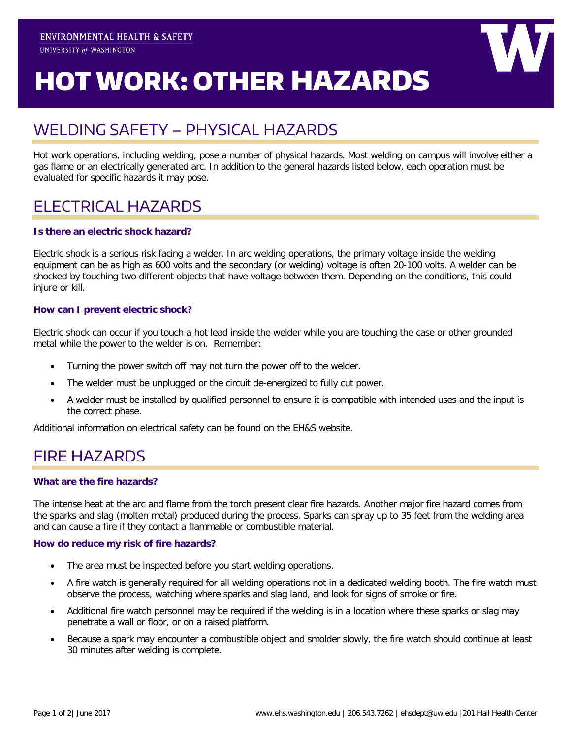# HOT WORK: OTHER HAZARDS

# WELDING SAFETY – PHYSICAL HAZARDS

Hot work operations, including welding, pose a number of physical hazards. Most welding on campus will involve either a gas flame or an electrically generated arc. In addition to the general hazards listed below, each operation must be evaluated for specific hazards it may pose.

# ELECTRICAL HAZARDS

#### **Is there an electric shock hazard?**

Electric shock is a serious risk facing a welder. In arc welding operations, the primary voltage inside the welding equipment can be as high as 600 volts and the secondary (or welding) voltage is often 20-100 volts. A welder can be shocked by touching two different objects that have voltage between them. Depending on the conditions, this could injure or kill.

#### **How can I prevent electric shock?**

Electric shock can occur if you touch a hot lead inside the welder while you are touching the case or other grounded metal while the power to the welder is on. Remember:

- Turning the power switch off may not turn the power off to the welder.
- The welder must be unplugged or the circuit de-energized to fully cut power.
- A welder must be installed by qualified personnel to ensure it is compatible with intended uses and the input is the correct phase.

Additional information on electrical safety can be found on the EH&S website.

# FIRE HAZARDS

#### **What are the fire hazards?**

The intense heat at the arc and flame from the torch present clear fire hazards. Another major fire hazard comes from the sparks and slag (molten metal) produced during the process. Sparks can spray up to 35 feet from the welding area and can cause a fire if they contact a flammable or combustible material.

#### **How do reduce my risk of fire hazards?**

- The area must be inspected before you start welding operations.
- A fire watch is generally required for all welding operations not in a dedicated welding booth. The fire watch must observe the process, watching where sparks and slag land, and look for signs of smoke or fire.
- Additional fire watch personnel may be required if the welding is in a location where these sparks or slag may penetrate a wall or floor, or on a raised platform.
- Because a spark may encounter a combustible object and smolder slowly, the fire watch should continue at least 30 minutes after welding is complete.